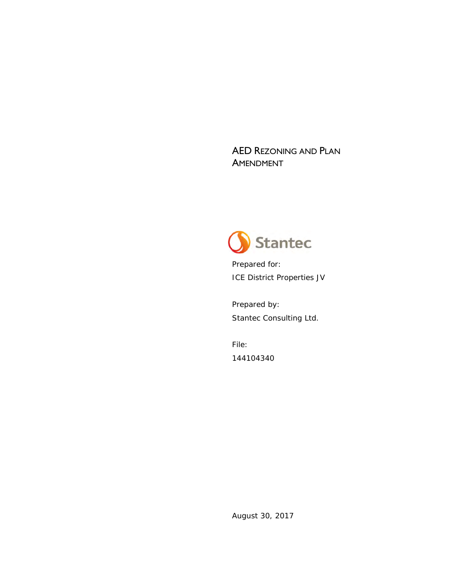AED REZONING AND PLAN **AMENDMENT** 



Prepared for: ICE District Properties JV

Prepared by: Stantec Consulting Ltd.

File: 144104340

August 30, 2017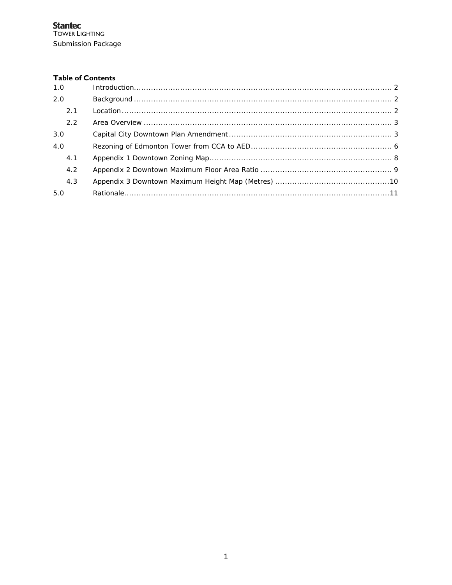#### **Table of Contents**

| 1.0 |  |  |
|-----|--|--|
| 2.0 |  |  |
| 2.1 |  |  |
| 2.2 |  |  |
| 3.0 |  |  |
| 4.0 |  |  |
| 4.1 |  |  |
| 4.2 |  |  |
| 4.3 |  |  |
| 5.0 |  |  |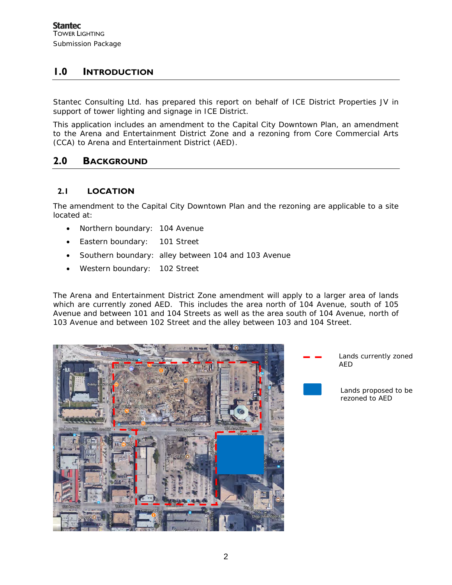# **1.0 INTRODUCTION**

Stantec Consulting Ltd. has prepared this report on behalf of ICE District Properties JV in support of tower lighting and signage in ICE District.

This application includes an amendment to the Capital City Downtown Plan, an amendment to the Arena and Entertainment District Zone and a rezoning from Core Commercial Arts (CCA) to Arena and Entertainment District (AED).

## **2.0 BACKGROUND**

### **2.1 LOCATION**

The amendment to the Capital City Downtown Plan and the rezoning are applicable to a site located at:

- Northern boundary: 104 Avenue
- Eastern boundary: 101 Street
- Southern boundary: alley between 104 and 103 Avenue
- Western boundary: 102 Street

The Arena and Entertainment District Zone amendment will apply to a larger area of lands which are currently zoned AED. This includes the area north of 104 Avenue, south of 105 Avenue and between 101 and 104 Streets as well as the area south of 104 Avenue, north of 103 Avenue and between 102 Street and the alley between 103 and 104 Street.



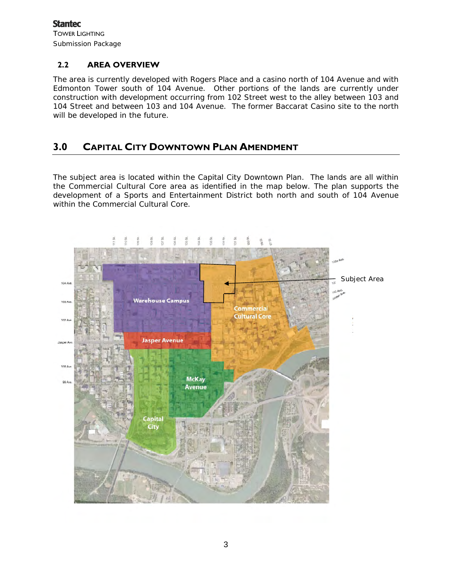**Stantec** TOWER LIGHTING Submission Package

#### **2.2 AREA OVERVIEW**

The area is currently developed with Rogers Place and a casino north of 104 Avenue and with Edmonton Tower south of 104 Avenue. Other portions of the lands are currently under construction with development occurring from 102 Street west to the alley between 103 and 104 Street and between 103 and 104 Avenue. The former Baccarat Casino site to the north will be developed in the future.

### **3.0 CAPITAL CITY DOWNTOWN PLAN AMENDMENT**

The subject area is located within the Capital City Downtown Plan. The lands are all within the Commercial Cultural Core area as identified in the map below. The plan supports the development of a Sports and Entertainment District both north and south of 104 Avenue within the Commercial Cultural Core.

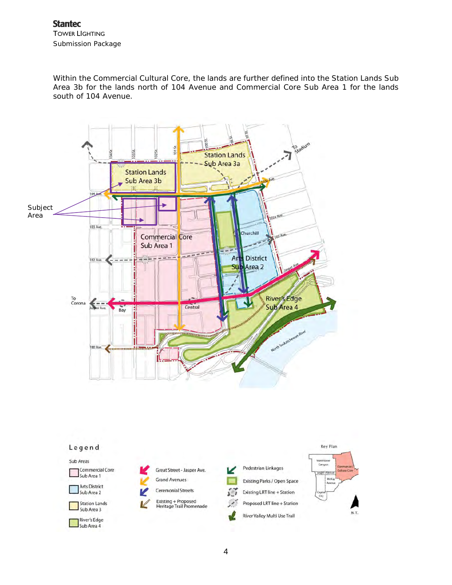Within the Commercial Cultural Core, the lands are further defined into the Station Lands Sub Area 3b for the lands north of 104 Avenue and Commercial Core Sub Area 1 for the lands south of 104 Avenue.



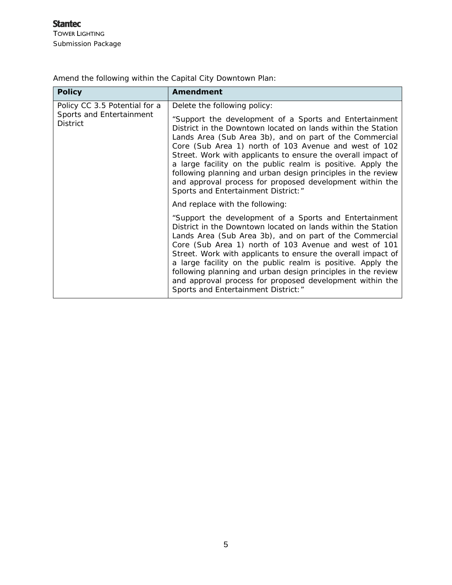| <b>Policy</b>                                                                | <b>Amendment</b>                                                                                                                                                                                                                                                                                                                                                                                                                                                                                                                                                             |
|------------------------------------------------------------------------------|------------------------------------------------------------------------------------------------------------------------------------------------------------------------------------------------------------------------------------------------------------------------------------------------------------------------------------------------------------------------------------------------------------------------------------------------------------------------------------------------------------------------------------------------------------------------------|
| Policy CC 3.5 Potential for a<br>Sports and Entertainment<br><b>District</b> | Delete the following policy:<br>"Support the development of a Sports and Entertainment<br>District in the Downtown located on lands within the Station<br>Lands Area (Sub Area 3b), and on part of the Commercial<br>Core (Sub Area 1) north of 103 Avenue and west of 102<br>Street. Work with applicants to ensure the overall impact of<br>a large facility on the public realm is positive. Apply the<br>following planning and urban design principles in the review<br>and approval process for proposed development within the<br>Sports and Entertainment District:" |
|                                                                              | And replace with the following:<br>"Support the development of a Sports and Entertainment<br>District in the Downtown located on lands within the Station                                                                                                                                                                                                                                                                                                                                                                                                                    |
|                                                                              | Lands Area (Sub Area 3b), and on part of the Commercial<br>Core (Sub Area 1) north of 103 Avenue and west of 101<br>Street. Work with applicants to ensure the overall impact of<br>a large facility on the public realm is positive. Apply the<br>following planning and urban design principles in the review<br>and approval process for proposed development within the<br>Sports and Entertainment District:"                                                                                                                                                           |

Amend the following within the Capital City Downtown Plan: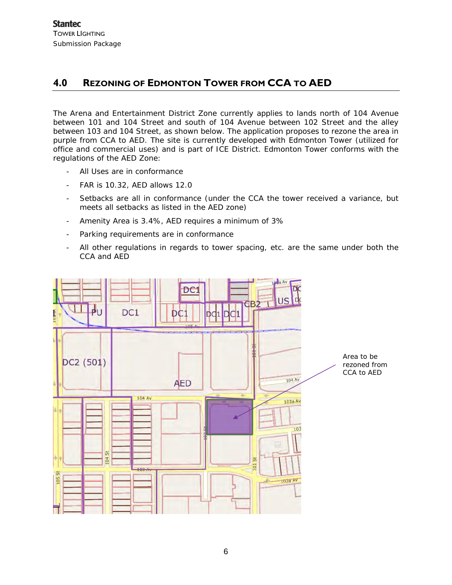# **4.0 REZONING OF EDMONTON TOWER FROM CCA TO AED**

The Arena and Entertainment District Zone currently applies to lands north of 104 Avenue between 101 and 104 Street and south of 104 Avenue between 102 Street and the alley between 103 and 104 Street, as shown below. The application proposes to rezone the area in purple from CCA to AED. The site is currently developed with Edmonton Tower (utilized for office and commercial uses) and is part of ICE District. Edmonton Tower conforms with the regulations of the AED Zone:

- All Uses are in conformance
- FAR is 10.32, AED allows 12.0
- Setbacks are all in conformance (under the CCA the tower received a variance, but meets all setbacks as listed in the AED zone)
- Amenity Area is 3.4%, AED requires a minimum of 3%
- Parking requirements are in conformance
- All other regulations in regards to tower spacing, etc. are the same under both the CCA and AED

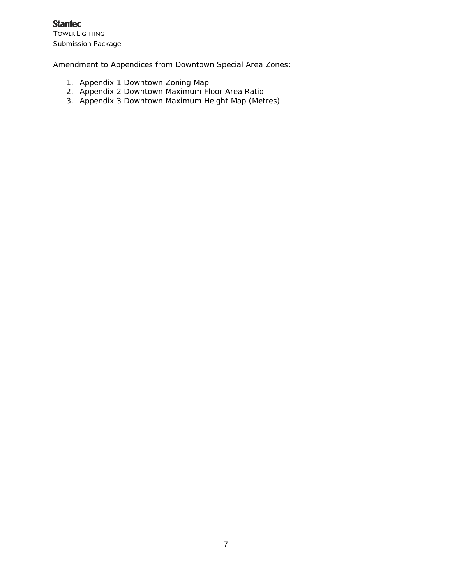**Stantec** TOWER LIGHTING Submission Package

Amendment to Appendices from Downtown Special Area Zones:

- 1. Appendix 1 Downtown Zoning Map
- 2. Appendix 2 Downtown Maximum Floor Area Ratio
- 3. Appendix 3 Downtown Maximum Height Map (Metres)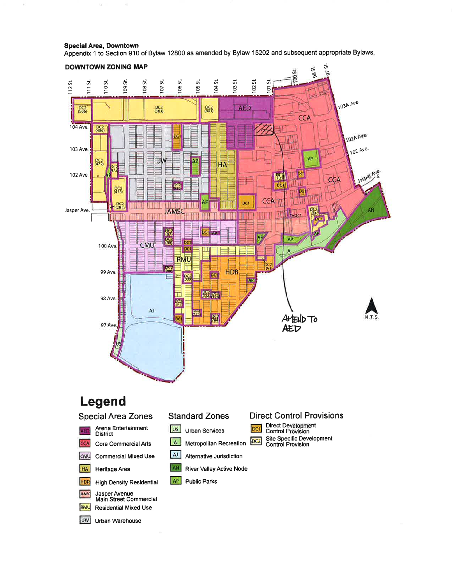**Special Area, Downtown** 

Appendix 1 to Section 910 of Bylaw 12800 as amended by Bylaw 15202 and subsequent appropriate Bylaws.

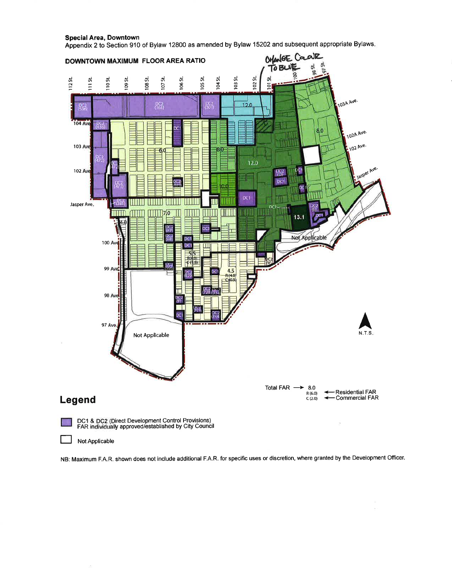

**Special Area, Downtown** Appendix 2 to Section 910 of Bylaw 12800 as amended by Bylaw 15202 and subsequent appropriate Bylaws.

NB: Maximum F.A.R. shown does not include additional F.A.R. for specific uses or discretion, where granted by the Development Officer.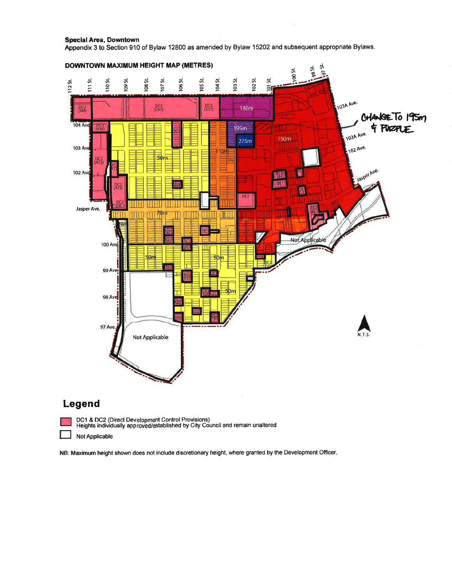**Special Area, Downtown** 

Appendix 3 to Section 910 of Bylaw 12800 as amended by Bylaw 15202 and subsequent appropriate Bylaws.



NB: Maximum height shown does not include discretionary height, where granted by the Development Officer.